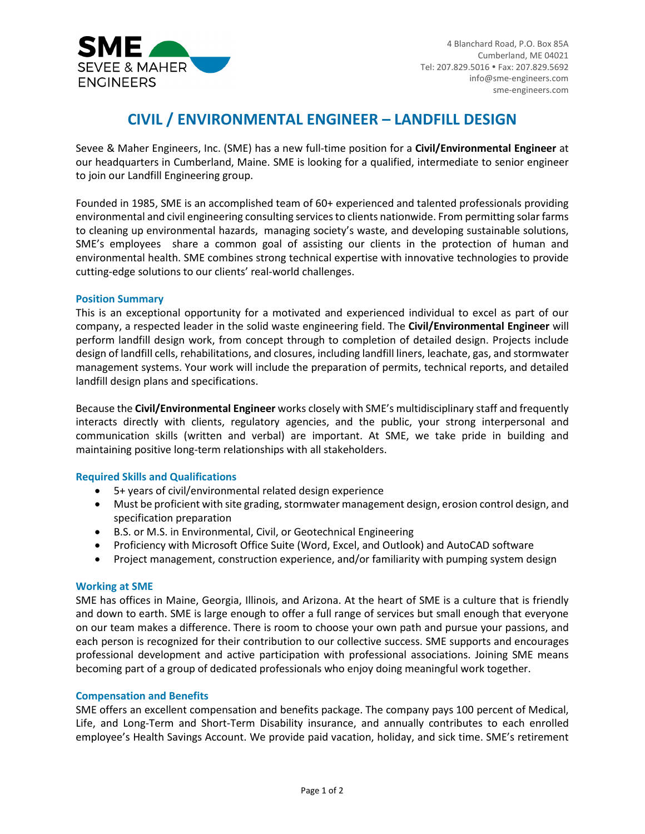

# **CIVIL / ENVIRONMENTAL ENGINEER – LANDFILL DESIGN**

Sevee & Maher Engineers, Inc. (SME) has a new full-time position for a **Civil/Environmental Engineer** at our headquarters in Cumberland, Maine. SME is looking for a qualified, intermediate to senior engineer to join our Landfill Engineering group.

Founded in 1985, SME is an accomplished team of 60+ experienced and talented professionals providing environmental and civil engineering consulting services to clients nationwide. From permitting solar farms to cleaning up environmental hazards, managing society's waste, and developing sustainable solutions, SME's employees share a common goal of assisting our clients in the protection of human and environmental health. SME combines strong technical expertise with innovative technologies to provide cutting-edge solutions to our clients' real-world challenges.

## **Position Summary**

This is an exceptional opportunity for a motivated and experienced individual to excel as part of our company, a respected leader in the solid waste engineering field. The **Civil/Environmental Engineer** will perform landfill design work, from concept through to completion of detailed design. Projects include design of landfill cells, rehabilitations, and closures, including landfill liners, leachate, gas, and stormwater management systems. Your work will include the preparation of permits, technical reports, and detailed landfill design plans and specifications.

Because the **Civil/Environmental Engineer** works closely with SME's multidisciplinary staff and frequently interacts directly with clients, regulatory agencies, and the public, your strong interpersonal and communication skills (written and verbal) are important. At SME, we take pride in building and maintaining positive long-term relationships with all stakeholders.

# **Required Skills and Qualifications**

- 5+ years of civil/environmental related design experience
- Must be proficient with site grading, stormwater management design, erosion control design, and specification preparation
- B.S. or M.S. in Environmental, Civil, or Geotechnical Engineering
- Proficiency with Microsoft Office Suite (Word, Excel, and Outlook) and AutoCAD software
- Project management, construction experience, and/or familiarity with pumping system design

#### **Working at SME**

SME has offices in Maine, Georgia, Illinois, and Arizona. At the heart of SME is a culture that is friendly and down to earth. SME is large enough to offer a full range of services but small enough that everyone on our team makes a difference. There is room to choose your own path and pursue your passions, and each person is recognized for their contribution to our collective success. SME supports and encourages professional development and active participation with professional associations. Joining SME means becoming part of a group of dedicated professionals who enjoy doing meaningful work together.

#### **Compensation and Benefits**

SME offers an excellent compensation and benefits package. The company pays 100 percent of Medical, Life, and Long-Term and Short-Term Disability insurance, and annually contributes to each enrolled employee's Health Savings Account. We provide paid vacation, holiday, and sick time. SME's retirement